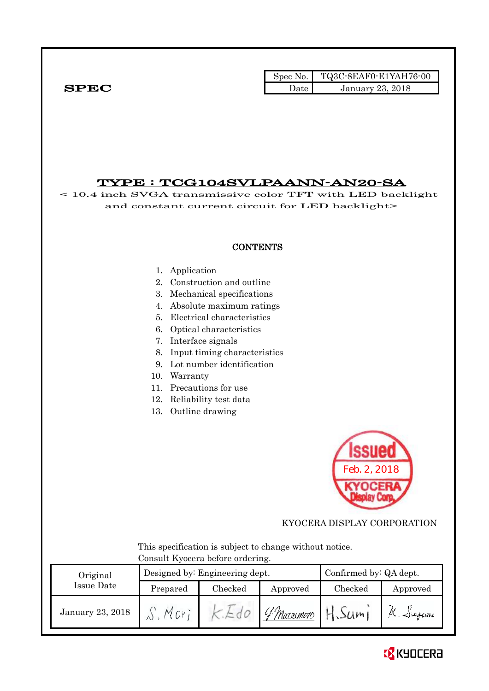Spec No. TQ3C-8EAF0-E1YAH76-00  $SPEC$  Date January 23, 2018

# TYPE : TCG104SVLPAANN-AN20-SA

< 10.4 inch SVGA transmissive color TFT with LED backlight and constant current circuit for LED backlight>

### **CONTENTS**

#### 1. Application

- 2. Construction and outline
- 3. Mechanical specifications
- 4. Absolute maximum ratings
- 5. Electrical characteristics
- 6. Optical characteristics
- 7. Interface signals
- 8. Input timing characteristics
- 9. Lot number identification
- 10. Warranty
- 11. Precautions for use
- 12. Reliability test data
- 13. Outline drawing



KYOCERA DISPLAY CORPORATION

 This specification is subject to change without notice. Consult Kyocera before ordering.

| Original         |          | Designed by: Engineering dept. |             | Confirmed by: QA dept. |           |
|------------------|----------|--------------------------------|-------------|------------------------|-----------|
| Issue Date       | Prepared | Checked                        | Approved    | Checked                | Approved  |
| January 23, 2018 |          |                                | 4 Marsimoto | 50m                    | X. Jugani |

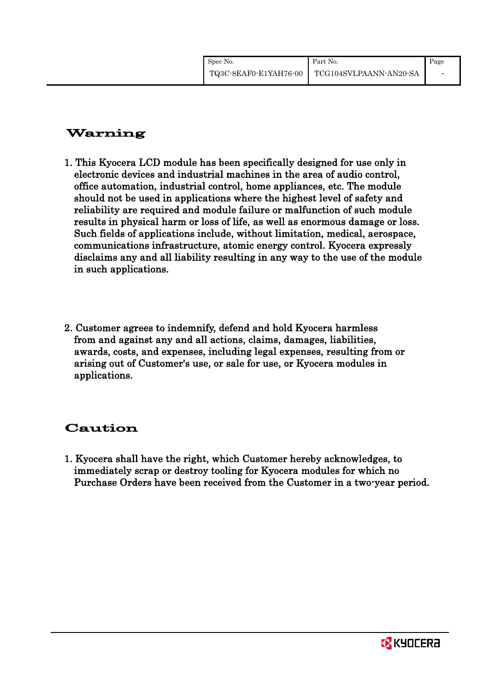# Warning

- 1. This Kyocera LCD module has been specifically designed for use only in electronic devices and industrial machines in the area of audio control, office automation, industrial control, home appliances, etc. The module should not be used in applications where the highest level of safety and reliability are required and module failure or malfunction of such module results in physical harm or loss of life, as well as enormous damage or loss. Such fields of applications include, without limitation, medical, aerospace, communications infrastructure, atomic energy control. Kyocera expressly disclaims any and all liability resulting in any way to the use of the module in such applications.
- 2. Customer agrees to indemnify, defend and hold Kyocera harmless from and against any and all actions, claims, damages, liabilities, awards, costs, and expenses, including legal expenses, resulting from or arising out of Customer's use, or sale for use, or Kyocera modules in applications.

# Caution

1. Kyocera shall have the right, which Customer hereby acknowledges, to immediately scrap or destroy tooling for Kyocera modules for which no Purchase Orders have been received from the Customer in a two-year period.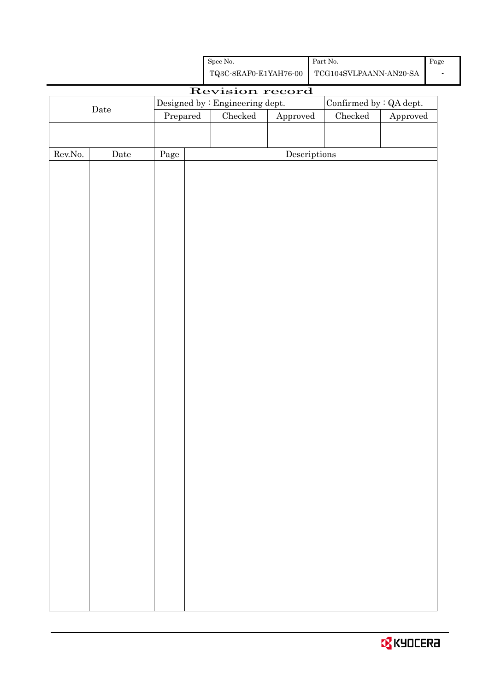|                  |             |          | Designed by : Engineering dept. |                                      | Confirmed by $:QA$ dept. |                        |
|------------------|-------------|----------|---------------------------------|--------------------------------------|--------------------------|------------------------|
|                  | $\rm{Date}$ | Prepared | $\rm Checked$                   | Approved                             | $\rm Checked$            | ${\Large\bf Approved}$ |
|                  |             |          |                                 |                                      |                          |                        |
|                  |             |          |                                 |                                      |                          |                        |
| ${\rm Rev. No.}$ | $\rm{Date}$ | Page     |                                 | $\label{eq:2} \textbf{Descriptions}$ |                          |                        |
|                  |             |          |                                 |                                      |                          |                        |
|                  |             |          |                                 |                                      |                          |                        |
|                  |             |          |                                 |                                      |                          |                        |
|                  |             |          |                                 |                                      |                          |                        |
|                  |             |          |                                 |                                      |                          |                        |
|                  |             |          |                                 |                                      |                          |                        |
|                  |             |          |                                 |                                      |                          |                        |
|                  |             |          |                                 |                                      |                          |                        |
|                  |             |          |                                 |                                      |                          |                        |
|                  |             |          |                                 |                                      |                          |                        |
|                  |             |          |                                 |                                      |                          |                        |
|                  |             |          |                                 |                                      |                          |                        |
|                  |             |          |                                 |                                      |                          |                        |
|                  |             |          |                                 |                                      |                          |                        |
|                  |             |          |                                 |                                      |                          |                        |
|                  |             |          |                                 |                                      |                          |                        |
|                  |             |          |                                 |                                      |                          |                        |
|                  |             |          |                                 |                                      |                          |                        |
|                  |             |          |                                 |                                      |                          |                        |
|                  |             |          |                                 |                                      |                          |                        |
|                  |             |          |                                 |                                      |                          |                        |
|                  |             |          |                                 |                                      |                          |                        |
|                  |             |          |                                 |                                      |                          |                        |
|                  |             |          |                                 |                                      |                          |                        |
|                  |             |          |                                 |                                      |                          |                        |
|                  |             |          |                                 |                                      |                          |                        |
|                  |             |          |                                 |                                      |                          |                        |
|                  |             |          |                                 |                                      |                          |                        |
|                  |             |          |                                 |                                      |                          |                        |
|                  |             |          |                                 |                                      |                          |                        |
|                  |             |          |                                 |                                      |                          |                        |
|                  |             |          |                                 |                                      |                          |                        |
|                  |             |          |                                 |                                      |                          |                        |

Spec No.

TQ3C-8EAF0-E1YAH76-00

Revision record

Part No.

TCG104SVLPAANN-AN20-SA

Page -

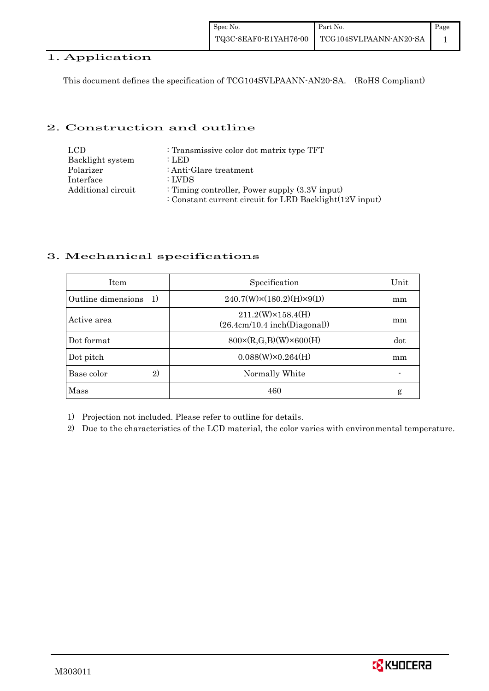## 1. Application

This document defines the specification of TCG104SVLPAANN-AN20-SA. (RoHS Compliant)

## 2. Construction and outline

| LCD.               | : Transmissive color dot matrix type TFT                |
|--------------------|---------------------------------------------------------|
| Backlight system   | : LED                                                   |
| Polarizer          | : Anti-Glare treatment                                  |
| Interface          | : LVDS                                                  |
| Additional circuit | : Timing controller, Power supply $(3.3V)$ input)       |
|                    | : Constant current circuit for LED Backlight(12V input) |

## 3. Mechanical specifications

| <b>Item</b>                         | Specification                                             | Unit |
|-------------------------------------|-----------------------------------------------------------|------|
| Outline dimensions<br><sup>1)</sup> | $240.7(W)\times(180.2)(H)\times9(D)$                      | mm   |
| Active area                         | $211.2(W)\times 158.4(H)$<br>(26.4cm/10.4~inch(Diagonal)) | mm   |
| Dot format                          | $800 \times (R, G, B)(W) \times 600(H)$                   | dot  |
| Dot pitch                           | $0.088(W)\times0.264(H)$                                  | mm   |
| Base color<br>2)                    | Normally White                                            |      |
| Mass                                | 460                                                       | g    |

1) Projection not included. Please refer to outline for details.

2) Due to the characteristics of the LCD material, the color varies with environmental temperature.

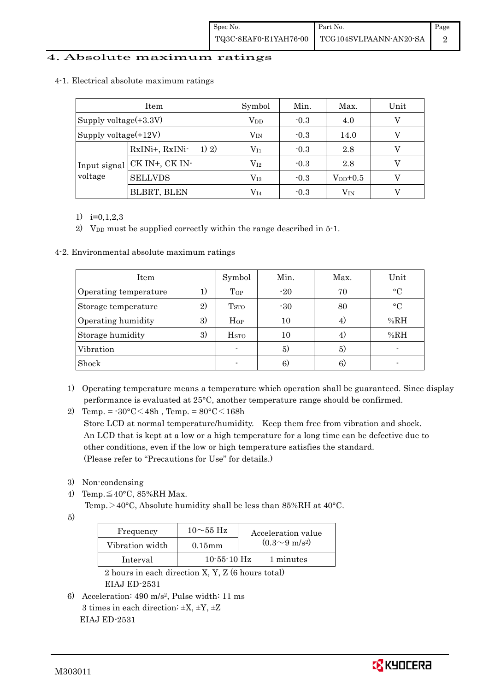## 4. Absolute maximum ratings

|                         | Item                    | Symbol       | Min.   | Max.         | Unit |
|-------------------------|-------------------------|--------------|--------|--------------|------|
| Supply voltage(+3.3V)   |                         | $\rm V_{DD}$ | $-0.3$ | 4.0          |      |
| Supply voltage $(+12V)$ |                         | $V_{\rm IN}$ | $-0.3$ | 14.0         |      |
|                         | RxINi+, RxINi-<br>1) 2) | $\rm V_{11}$ | $-0.3$ | 2.8          |      |
| Input signal            | CK IN+, CK IN-          | $\rm V_{I2}$ | $-0.3$ | 2.8          |      |
| voltage                 | <b>SELLVDS</b>          | $\rm V_{I3}$ | $-0.3$ | $V_{DD}+0.5$ |      |
|                         | <b>BLBRT, BLEN</b>      | $\rm V_{I4}$ | $-0.3$ | $\rm V_{IN}$ |      |

#### 4-1. Electrical absolute maximum ratings

1) i=0,1,2,3

2) V<sub>DD</sub> must be supplied correctly within the range described in 5-1.

4-2. Environmental absolute maximum ratings

| Item                  |    | Symbol                  | Min.  | Max. | Unit      |
|-----------------------|----|-------------------------|-------|------|-----------|
| Operating temperature | 1) | Top                     | $-20$ | 70   | $\circ$ C |
| Storage temperature   | 2) | <b>T</b> <sub>STO</sub> | $-30$ | 80   | $\circ$ C |
| Operating humidity    | 3) | Hop                     | 10    | 4)   | %RH       |
| Storage humidity      | 3) | H <sub>STO</sub>        | 10    | 4)   | %RH       |
| Vibration             |    |                         | 5)    | 5)   |           |
| Shock                 |    |                         | 6)    | 6.   |           |

- 1) Operating temperature means a temperature which operation shall be guaranteed. Since display performance is evaluated at 25°C, another temperature range should be confirmed.
- 2) Temp. =  $-30^{\circ}$ C $<$ 48h, Temp. =  $80^{\circ}$ C $<$ 168h Store LCD at normal temperature/humidity. Keep them free from vibration and shock. An LCD that is kept at a low or a high temperature for a long time can be defective due to other conditions, even if the low or high temperature satisfies the standard. (Please refer to "Precautions for Use" for details.)
- 3) Non-condensing
- 4) Temp. $\leq 40^{\circ}$ C, 85%RH Max.

Temp.>40°C, Absolute humidity shall be less than 85%RH at 40°C.

5)

| Frequency       | $10\sim$ 55 Hz | Acceleration value         |
|-----------------|----------------|----------------------------|
| Vibration width | $0.15$ mm      | $(0.3{\sim}9~{\rm m/s^2})$ |
| Interval        | $10-55-10$ Hz  | 1 minutes                  |

 2 hours in each direction X, Y, Z (6 hours total) EIAJ ED-2531

6) Acceleration: 490 m/s2, Pulse width: 11 ms 3 times in each direction:  $\pm X$ ,  $\pm Y$ ,  $\pm Z$ EIAJ ED-2531

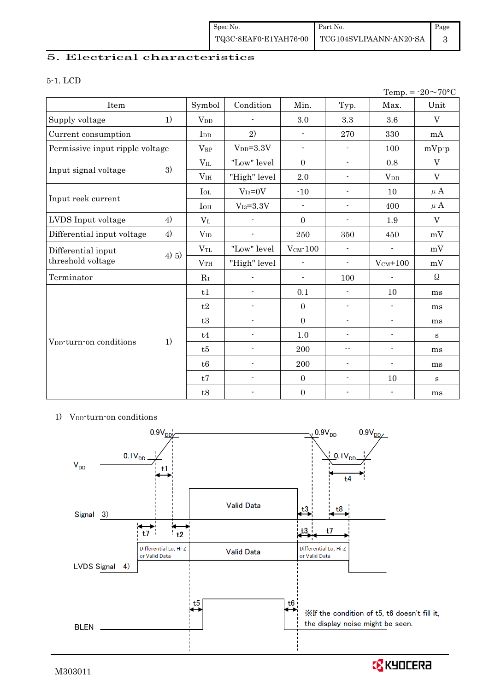## 5. Electrical characteristics

#### 5-1. LCD

|                                     |          |                       |                          |                          |                            |                          | Temp. = $-20 \sim 70$ °C |
|-------------------------------------|----------|-----------------------|--------------------------|--------------------------|----------------------------|--------------------------|--------------------------|
| Item                                |          | Symbol                | Condition                | Min.                     | Typ.                       | Max.                     | Unit                     |
| Supply voltage                      | 1)       | <b>V<sub>DD</sub></b> |                          | 3.0                      | 3.3                        | 3.6                      | $\mathbf V$              |
| Current consumption                 |          | I <sub>DD</sub>       | 2)                       | $\blacksquare$           | 270                        | 330                      | mA                       |
| Permissive input ripple voltage     |          | $V_{RP}$              | $V_{DD} = 3.3V$          | $\blacksquare$           | $\blacksquare$             | 100                      | $mVp-p$                  |
|                                     |          | $V_{IL}$              | "Low" level              | $\Omega$                 | $\blacksquare$             | 0.8                      | $\rm V$                  |
| Input signal voltage                | 3)       | V <sub>IH</sub>       | "High" level             | 2.0                      | $\overline{\phantom{a}}$   | <b>V</b> <sub>DD</sub>   | $\mathbf V$              |
|                                     |          | $I_{OL}$              | $V_{I3}=0V$              | $-10$                    | $\blacksquare$             | 10                       | $\mu$ A                  |
| Input reek current                  |          | $I_{OH}$              | $V_{I3} = 3.3V$          | $\overline{\phantom{a}}$ | $\blacksquare$             | 400                      | $\mu$ A                  |
| LVDS Input voltage                  | 4)       | $V_{L}$               |                          | $\mathbf{0}$             | $\overline{\phantom{0}}$   | 1.9                      | $\mathbf V$              |
| Differential input voltage          | 4)       | $V_{ID}$              | $\overline{\phantom{a}}$ | 250                      | 350                        | 450                      | mV                       |
| Differential input                  |          | $V_{TL}$              | "Low" level              | $V_{CM}$ -100            | $\blacksquare$             |                          | mV                       |
| threshold voltage                   | $(4)$ 5) | V <sub>TH</sub>       | "High" level             | $\overline{\phantom{a}}$ | $\overline{\phantom{a}}$   | $V_{CM}$ +100            | mV                       |
| Terminator                          |          | $R_1$                 |                          | $\blacksquare$           | 100                        |                          | $\Omega$                 |
|                                     |          | t1                    | $\blacksquare$           | 0.1                      | $\overline{\phantom{a}}$   | 10                       | ms                       |
|                                     |          | t2                    |                          | $\mathbf{0}$             | $\overline{\phantom{a}}$   | $\blacksquare$           | ms                       |
|                                     |          | t3                    | $\overline{a}$           | $\overline{0}$           | $\overline{\phantom{0}}$   | $\overline{a}$           | ms                       |
|                                     |          | t4                    | $\overline{\phantom{a}}$ | 1.0                      | $\overline{\phantom{a}}$   | -                        | $\bf S$                  |
| V <sub>DD</sub> -turn-on conditions | 1)       | t5                    |                          | 200                      | $\overline{\phantom{a}}$ . | $\overline{\phantom{0}}$ | ms                       |
|                                     |          | t6                    | $\overline{a}$           | 200                      | $\overline{\phantom{a}}$   | $\overline{\phantom{a}}$ | ms                       |
|                                     |          | t7                    | $\overline{a}$           | $\mathbf{0}$             | ٠                          | 10                       | $\bf S$                  |
|                                     |          | t8                    | $\blacksquare$           | $\boldsymbol{0}$         | $\overline{a}$             | $\blacksquare$           | ms                       |

#### 1) V<sub>DD</sub>-turn-on conditions



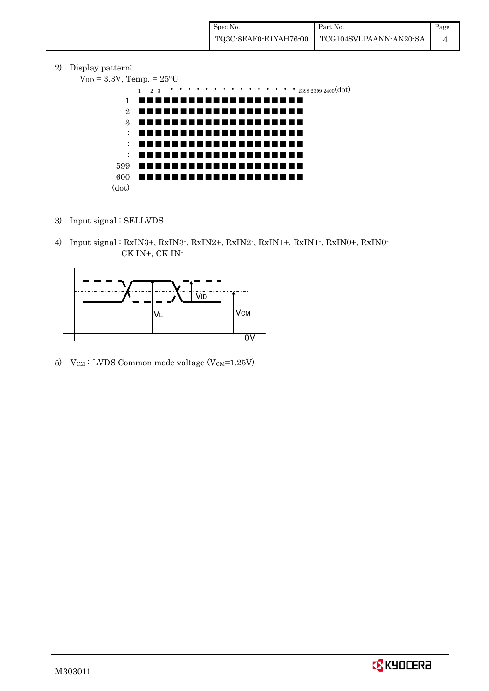2) Display pattern:

```
V_{DD} = 3.3V, Temp. = 25^{\circ}C
```


- 3) Input signal : SELLVDS
- 4) Input signal : RxIN3+, RxIN3-, RxIN2+, RxIN2-, RxIN1+, RxIN1-, RxIN0+, RxIN0- CK IN+, CK IN-



5) V $_{CM}$ : LVDS Common mode voltage (V $_{CM}$ =1.25V)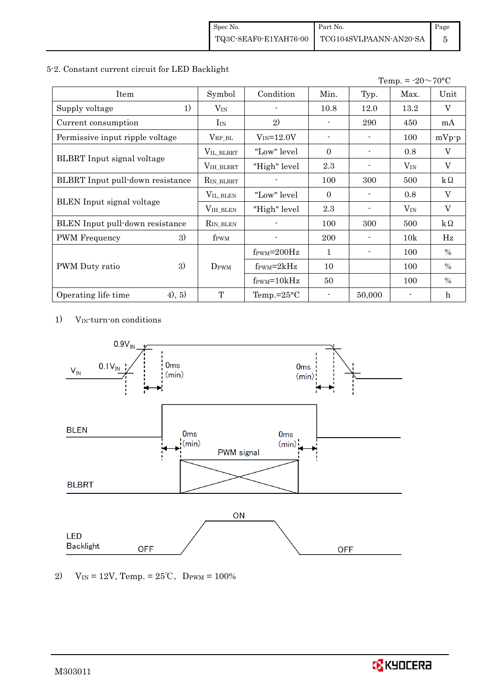#### 5-2. Constant current circuit for LED Backlight

|                                   |                  |                                  |          |        | Temp. = $-20 \sim 70$ °C |               |
|-----------------------------------|------------------|----------------------------------|----------|--------|--------------------------|---------------|
| Item                              | Symbol           | Condition                        | Min.     | Typ.   | Max.                     | Unit          |
| 1)<br>Supply voltage              | $V_{\rm IN}$     |                                  | 10.8     | 12.0   | 13.2                     | V             |
| Current consumption               | $I_{IN}$         | 2)                               |          | 290    | 450                      | mA            |
| Permissive input ripple voltage   | $V_{RP\_BL}$     | $V_{IN} = 12.0V$                 |          |        | 100                      | $mVp-p$       |
|                                   | VIL_BLBRT        | "Low" level"                     | $\Omega$ |        | 0.8                      | V             |
| <b>BLBRT</b> Input signal voltage | VIH_BLBRT        | "High" level                     | 2.3      |        | $V_{IN}$                 | V             |
| BLBRT Input pull-down resistance  | $R_{IN\_BLBRT}$  |                                  | 100      | 300    | 500                      | $k\Omega$     |
|                                   | VIL_BLEN         | "Low" level"                     | $\Omega$ |        | 0.8                      | V             |
| BLEN Input signal voltage         | VIH_BLEN         | "High" level                     | 2.3      |        | $V_{IN}$                 | V             |
| BLEN Input pull-down resistance   | $R_{IN_BLEN}$    |                                  | 100      | 300    | 500                      | $k\Omega$     |
| 3)<br><b>PWM</b> Frequency        | f <sub>PWM</sub> |                                  | 200      |        | 10k                      | Hz            |
|                                   |                  | $f_{\text{PWM}} = 200 \text{Hz}$ | 1        |        | 100                      | $\%$          |
| 3)<br>PWM Duty ratio              | $D_{\rm PWM}$    | $f_{\rm PWM} = 2kHz$             | 10       |        | 100                      | $\frac{0}{0}$ |
|                                   |                  | $f_{\text{PWM}} = 10kHz$         | 50       |        | 100                      | $\%$          |
| (4), 5)<br>Operating life time    | T                | Temp.= $25^{\circ}$ C            |          | 50,000 |                          | h             |

1) VIN-turn-on conditions



<sup>2)</sup> V<sub>IN</sub> = 12V, Temp. =  $25^{\circ}$ C, D<sub>PWM</sub> = 100%

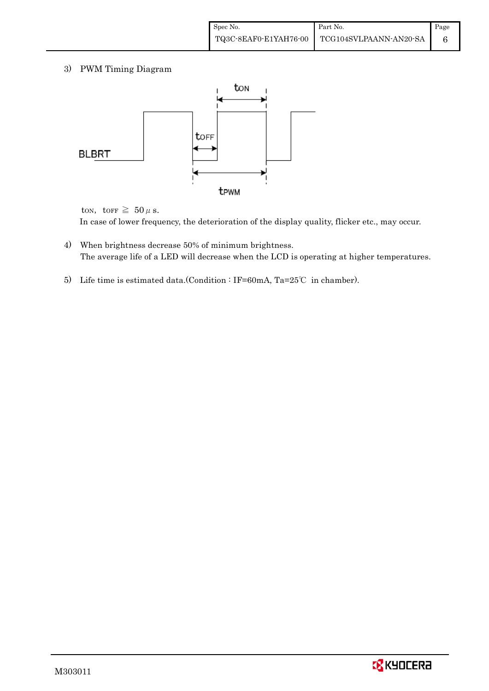3) PWM Timing Diagram



ton, torr  $\geq 50 \mu$  s.

In case of lower frequency, the deterioration of the display quality, flicker etc., may occur.

- 4) When brightness decrease 50% of minimum brightness. The average life of a LED will decrease when the LCD is operating at higher temperatures.
- 5) Life time is estimated data.(Condition : IF=60mA, Ta=25℃ in chamber).

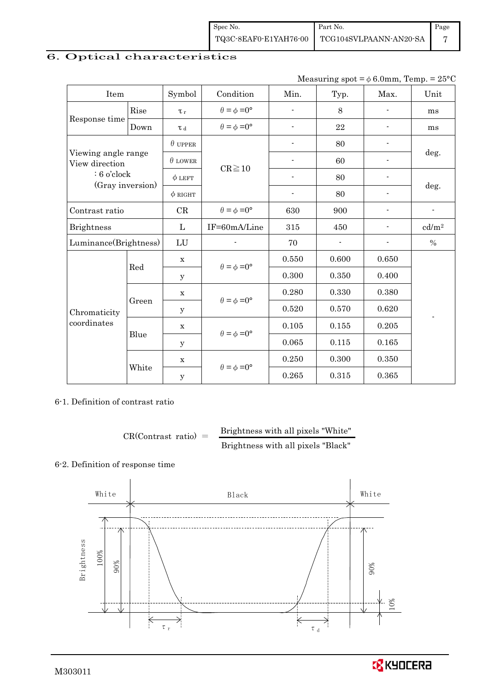| Spec No.              | Part No.               | Page |
|-----------------------|------------------------|------|
| TQ3C-8EAF0-E1YAH76-00 | TCG104SVLPAANN-AN20-SA |      |

# 6. Optical characteristics

| Measuring spot = $\phi$ 6.0mm, Temp. = 25°C |
|---------------------------------------------|
|---------------------------------------------|

| Item                                  |       | Symbol         | Condition                   | Min.                     | Typ.  | Max.           | Unit                     |  |
|---------------------------------------|-------|----------------|-----------------------------|--------------------------|-------|----------------|--------------------------|--|
|                                       | Rise  | $\tau_r$       | $\theta = \phi = 0^{\circ}$ | $\blacksquare$           | 8     |                | ms                       |  |
| Response time<br>Down                 |       | T d            | $\theta = \phi = 0^{\circ}$ | $\overline{\phantom{a}}$ | 22    | $\blacksquare$ | ms                       |  |
|                                       |       | $\theta$ upper |                             | $\blacksquare$           | 80    | $\overline{a}$ |                          |  |
| Viewing angle range<br>View direction |       | $\theta$ LOWER |                             |                          | 60    |                | deg.                     |  |
| $: 6$ o'clock<br>(Gray inversion)     |       | $\phi$ LEFT    | $CR \ge 10$                 |                          | 80    |                |                          |  |
|                                       |       | $\phi$ RIGHT   |                             |                          | 80    |                | deg.                     |  |
| Contrast ratio                        |       | CR             | $\theta = \phi = 0^{\circ}$ | 630                      | 900   |                | $\overline{\phantom{a}}$ |  |
| <b>Brightness</b>                     |       | L              | IF=60mA/Line                | 315                      | 450   |                | cd/m <sup>2</sup>        |  |
| Luminance(Brightness)                 |       | LU             |                             | 70                       |       |                | $\%$                     |  |
|                                       | Red   | $\mathbf X$    | $\theta = \phi = 0^{\circ}$ | 0.550                    | 0.600 | 0.650          |                          |  |
|                                       |       | У              |                             | 0.300                    | 0.350 | 0.400          |                          |  |
|                                       | Green | $\mathbf X$    | $\theta = \phi = 0^{\circ}$ | 0.280                    | 0.330 | 0.380          |                          |  |
| Chromaticity<br>coordinates           |       | У              |                             | 0.520                    | 0.570 | 0.620          |                          |  |
|                                       | Blue  | X              | $\theta = \phi = 0^{\circ}$ | 0.105                    | 0.155 | 0.205          |                          |  |
|                                       |       | y              |                             | 0.065                    | 0.115 | 0.165          |                          |  |
|                                       | White | $\mathbf x$    | $\theta = \phi = 0^{\circ}$ | 0.250                    | 0.300 | 0.350          |                          |  |
|                                       |       | У              |                             | 0.265                    | 0.315 | 0.365          |                          |  |

6-1. Definition of contrast ratio

$$
CR(Contrast ratio) = \frac{Brightness with all pixels "White" }{Brightness with all pixels "Black" }
$$

## 6-2. Definition of response time



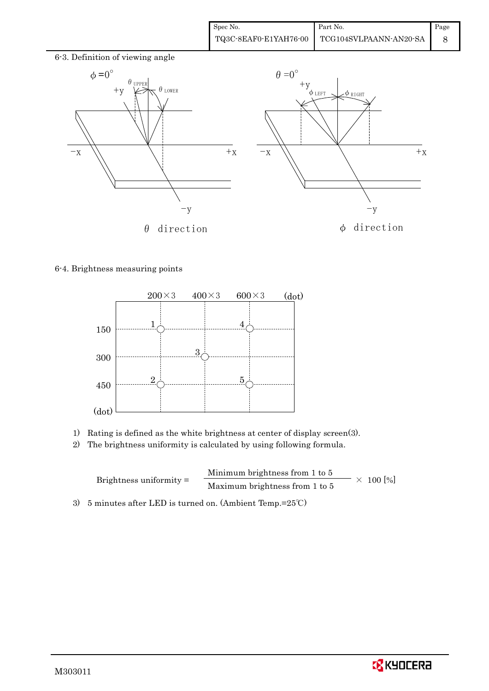

#### 6-4. Brightness measuring points



- 1) Rating is defined as the white brightness at center of display screen(3).
- 2) The brightness uniformity is calculated by using following formula.

Brightness uniformity = Minimum brightness from 1 to 5 Maximum brightness from  $1 \text{ to } 5$   $\times 100$  [%]

3) 5 minutes after LED is turned on. (Ambient Temp.=25℃)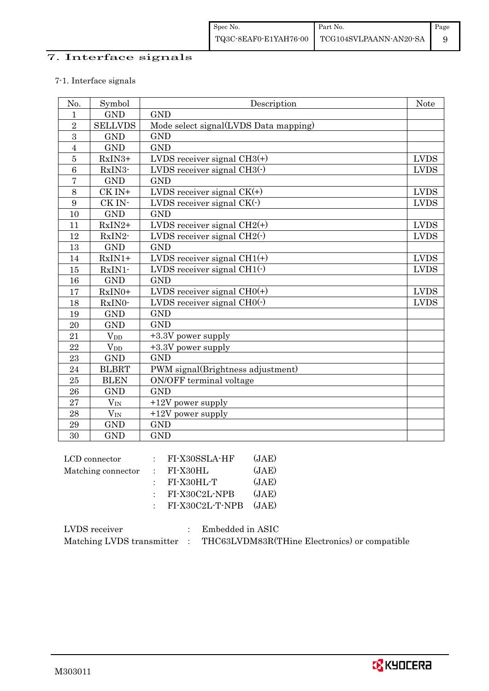## 7. Interface signals

## 7-1. Interface signals

| No.            | Symbol                 | Description                           | <b>Note</b> |
|----------------|------------------------|---------------------------------------|-------------|
| $\mathbf{1}$   | <b>GND</b>             | <b>GND</b>                            |             |
| $\overline{2}$ | <b>SELLVDS</b>         | Mode select signal(LVDS Data mapping) |             |
| 3              | <b>GND</b>             | <b>GND</b>                            |             |
| $\overline{4}$ | <b>GND</b>             | <b>GND</b>                            |             |
| $\overline{5}$ | RxIN3+                 | LVDS receiver signal $CH3(+)$         | <b>LVDS</b> |
| 6              | RxIN3-                 | LVDS receiver signal $CH3()$          | <b>LVDS</b> |
| $\overline{7}$ | <b>GND</b>             | <b>GND</b>                            |             |
| 8              | CK IN+                 | LVDS receiver signal $CK(+)$          | <b>LVDS</b> |
| 9              | CK IN-                 | LVDS receiver signal $CK(\cdot)$      | <b>LVDS</b> |
| 10             | <b>GND</b>             | <b>GND</b>                            |             |
| 11             | RxIN2+                 | LVDS receiver signal $CH2(+)$         | <b>LVDS</b> |
| 12             | RxIN2-                 | LVDS receiver signal $CH2(\cdot)$     | <b>LVDS</b> |
| 13             | <b>GND</b>             | <b>GND</b>                            |             |
| 14             | $RxIN1+$               | LVDS receiver signal $CH1(+)$         | <b>LVDS</b> |
| 15             | RxIN1-                 | LVDS receiver signal $CH1(\cdot)$     | <b>LVDS</b> |
| 16             | <b>GND</b>             | <b>GND</b>                            |             |
| 17             | RxIN0+                 | LVDS receiver signal $CHO(+)$         | <b>LVDS</b> |
| 18             | RxIN0-                 | LVDS receiver signal $CHO(·)$         | <b>LVDS</b> |
| 19             | <b>GND</b>             | <b>GND</b>                            |             |
| 20             | <b>GND</b>             | <b>GND</b>                            |             |
| 21             | <b>V</b> <sub>DD</sub> | +3.3V power supply                    |             |
| 22             | $V_{DD}$               | +3.3V power supply                    |             |
| 23             | <b>GND</b>             | <b>GND</b>                            |             |
| 24             | <b>BLBRT</b>           | PWM signal(Brightness adjustment)     |             |
| 25             | <b>BLEN</b>            | ON/OFF terminal voltage               |             |
| 26             | <b>GND</b>             | <b>GND</b>                            |             |
| 27             | $V_{\rm IN}$           | $+12V$ power supply                   |             |
| 28             | $V_{\rm IN}$           | $+12V$ power supply                   |             |
| 29             | <b>GND</b>             | <b>GND</b>                            |             |
| 30             | <b>GND</b>             | <b>GND</b>                            |             |

| LCD connector      | $:$ FI-X30SSLA-HF     | (JAE) |
|--------------------|-----------------------|-------|
| Matching connector | $\therefore$ FI-X30HL | (JAE) |
|                    | $:$ FI-X30HL-T        | (JAE) |
|                    | $:$ FI-X30C2L-NPB     | (JAE) |
|                    | $:$ FI-X30C2L-T-NPB   | (JAE) |
|                    |                       |       |

| LVDS receiver             | Embedded in ASIC                              |
|---------------------------|-----------------------------------------------|
| Matching LVDS transmitter | THC63LVDM83R(THine Electronics) or compatible |

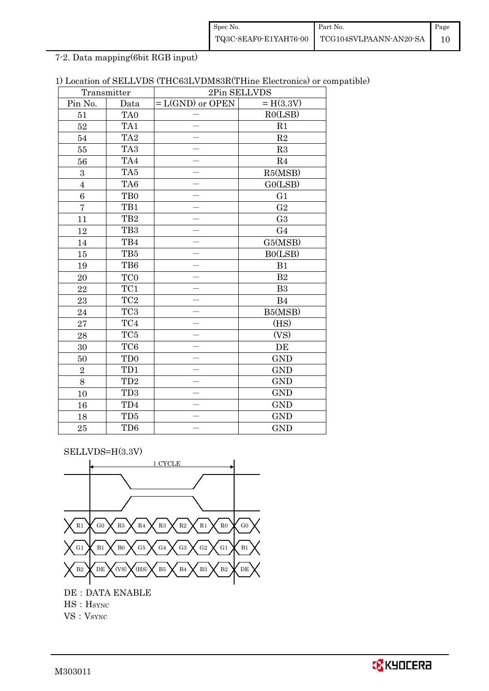| Spec No. | Part No.                                                                                                                            | Page |
|----------|-------------------------------------------------------------------------------------------------------------------------------------|------|
|          | $\left. {\color{blue}\text{TQ3C-8EAF0-E1YAH76-00}} \right \left. {\color{blue}\text{TCG104SVLPAANN-AN20-SA}} \right \left. \right $ |      |

7-2. Data mapping(6bit RGB input)

| 1) Location of SELLVDS (THC63LVDM83R(THine Electronics) or compatible) |  |
|------------------------------------------------------------------------|--|
|------------------------------------------------------------------------|--|

|                 | Transmitter     |                    | 2Pin SELLVDS   |
|-----------------|-----------------|--------------------|----------------|
| Pin No.         | Data            | $= L(GND)$ or OPEN | $= H(3.3V)$    |
| 51              | TA <sub>0</sub> |                    | RO(LSB)        |
| 52              | TA1             |                    | R1             |
| 54              | TA <sub>2</sub> |                    | $\mathbf{R}2$  |
| 55              | TA <sub>3</sub> |                    | R3             |
| 56              | TA4             |                    | $\mathbf{R}4$  |
| 3               | TA5             |                    | R5(MSB)        |
| $\overline{4}$  | TA <sub>6</sub> |                    | GO(LSB)        |
| $6\phantom{.}6$ | T <sub>B0</sub> |                    | G1             |
| $\overline{7}$  | TB1             |                    | ${\rm G}2$     |
| 11              | TB <sub>2</sub> |                    | G <sub>3</sub> |
| 12              | TB <sub>3</sub> |                    | G <sub>4</sub> |
| $14\,$          | TB4             |                    | G5(MSB)        |
| 15              | $\rm TB5$       |                    | B0(LSB)        |
| 19              | TB6             |                    | B1             |
| 20              | TC <sub>0</sub> |                    | $\mathbf{B}2$  |
| 22              | TC1             |                    | B <sub>3</sub> |
| 23              | $\rm TC2$       |                    | B4             |
| 24              | TC <sub>3</sub> |                    | B5(MSB)        |
| 27              | $\rm TC4$       |                    | (HS)           |
| 28              | TC5             |                    | (VS)           |
| 30              | TC <sub>6</sub> |                    | DE             |
| 50              | TD <sub>0</sub> |                    | <b>GND</b>     |
| $\overline{2}$  | TD1             |                    | <b>GND</b>     |
| 8               | TD <sub>2</sub> |                    | <b>GND</b>     |
| 10              | TD <sub>3</sub> |                    | <b>GND</b>     |
| 16              | TD4             |                    | <b>GND</b>     |
| 18              | TD <sub>5</sub> |                    | <b>GND</b>     |
| 25              | TD <sub>6</sub> |                    | <b>GND</b>     |

SELLVDS=H(3.3V)



VS: V<sub>SYNC</sub>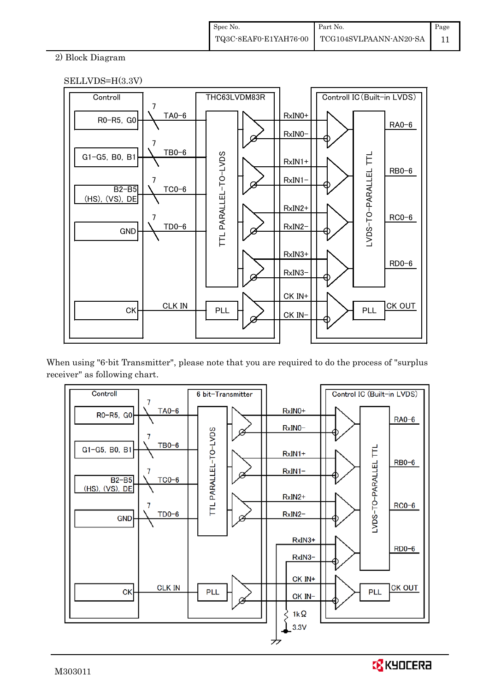## 2) Block Diagram





When using "6-bit Transmitter", please note that you are required to do the process of "surplus receiver" as following chart.



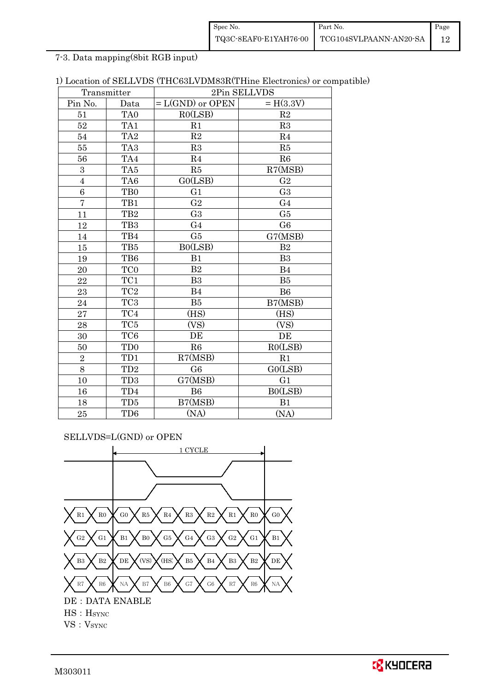| Spec No. | Part No.                                     | Page |
|----------|----------------------------------------------|------|
|          | TQ3C-8EAF0-E1YAH76-00 TCG104SVLPAANN-AN20-SA |      |

7-3. Data mapping(8bit RGB input)

| 1) Location of SELLVDS (THC63LVDM83R(THine Electronics) or compatible) |  |
|------------------------------------------------------------------------|--|
|------------------------------------------------------------------------|--|

| Transmitter             |                 | 2Pin SELLVDS       |                |  |  |
|-------------------------|-----------------|--------------------|----------------|--|--|
| Pin No.                 | Data            | $= L(GND)$ or OPEN | $= H(3.3V)$    |  |  |
| 51                      | TA <sub>0</sub> | R0(LSB)            | R2             |  |  |
| 52                      | TA1             | R1                 | R3             |  |  |
| 54                      | TA <sub>2</sub> | R2                 | R <sub>4</sub> |  |  |
| 55                      | TA <sub>3</sub> | R3                 | R5             |  |  |
| 56                      | TA4             | R <sub>4</sub>     | R6             |  |  |
| 3                       | TA <sub>5</sub> | R5                 | R7(MSB)        |  |  |
| $\overline{\mathbf{4}}$ | TA <sub>6</sub> | GO(LSB)            | G <sub>2</sub> |  |  |
| 6                       | TB <sub>0</sub> | G1                 | G <sub>3</sub> |  |  |
| $\overline{7}$          | TB1             | G <sub>2</sub>     | G <sub>4</sub> |  |  |
| 11                      | TB <sub>2</sub> | G <sub>3</sub>     | G5             |  |  |
| 12                      | TB <sub>3</sub> | G <sub>4</sub>     | G <sub>6</sub> |  |  |
| 14                      | TB4             | G5                 | G7(MSB)        |  |  |
| 15                      | TB5             | B0(LSB)            | B <sub>2</sub> |  |  |
| 19                      | TB6             | B1                 | B <sub>3</sub> |  |  |
| 20                      | TC <sub>0</sub> | B <sub>2</sub>     | B <sub>4</sub> |  |  |
| 22                      | TC1             | B3                 | B5             |  |  |
| 23                      | TC <sub>2</sub> | B <sub>4</sub>     | B <sub>6</sub> |  |  |
| 24                      | TC <sub>3</sub> | B5                 | B7(MSB)        |  |  |
| 27                      | TC4             | (HS)               | (HS)           |  |  |
| 28                      | TC <sub>5</sub> | (VS)               | (VS)           |  |  |
| 30                      | TC <sub>6</sub> | DE                 | DE             |  |  |
| 50                      | TD <sub>0</sub> | R6                 | RO(LSB)        |  |  |
| $\overline{2}$          | TD1             | R7(MSB)            | R1             |  |  |
| 8                       | TD <sub>2</sub> | G <sub>6</sub>     | G0(LSB)        |  |  |
| 10                      | TD <sub>3</sub> | G7(MSB)            | G <sub>1</sub> |  |  |
| 16                      | TD4             | <b>B6</b>          | B0(LSB)        |  |  |
| 18                      | TD <sub>5</sub> | B7(MSB)            | B1             |  |  |
| 25                      | TD <sub>6</sub> | (NA)               | (NA)           |  |  |

SELLVDS=L(GND) or OPEN



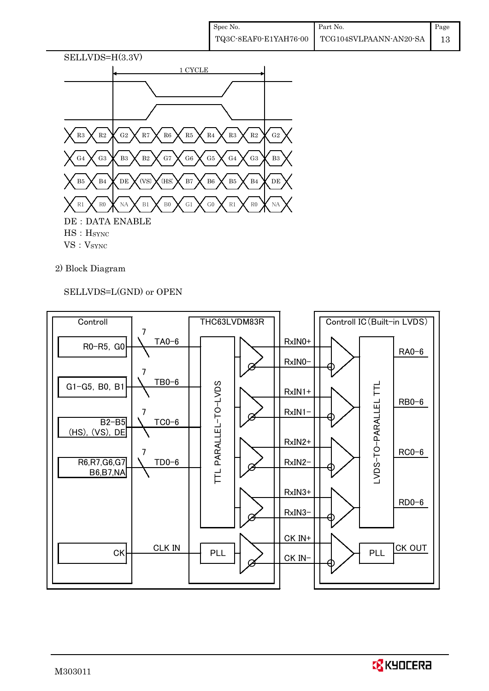

## 2) Block Diagram

SELLVDS=L(GND) or OPEN



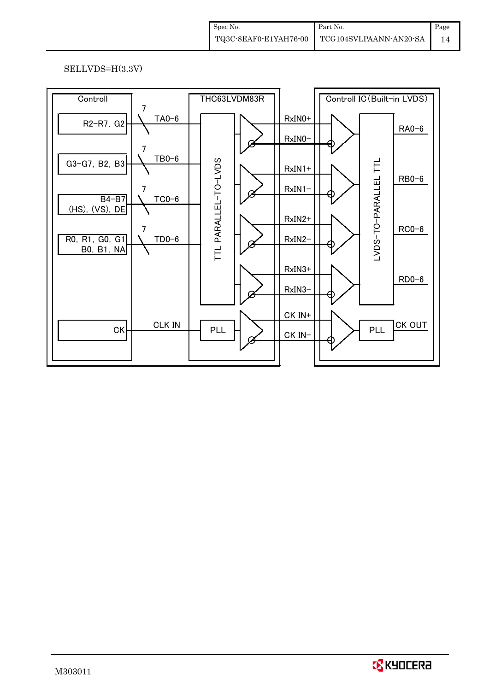## SELLVDS=H(3.3V)

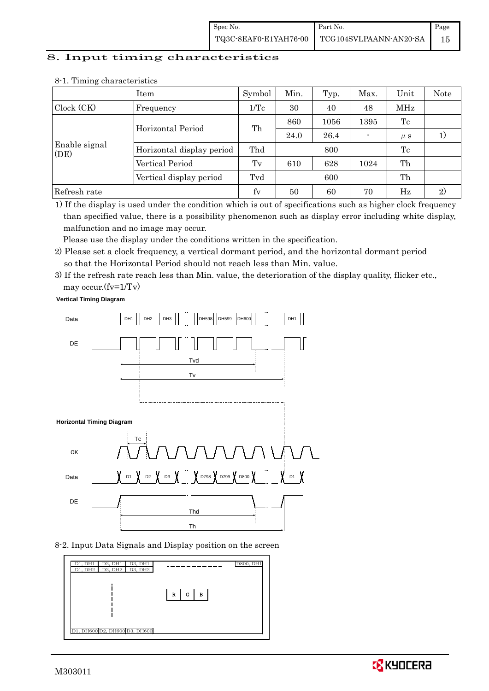### 8. Input timing characteristics

|                       | Item                      | Symbol          | Min. | Typ. | Max. | Unit    | Note   |
|-----------------------|---------------------------|-----------------|------|------|------|---------|--------|
| Clock (CK)            | Frequency                 | $1/\mathrm{Tc}$ | 30   | 40   | 48   | MHz     |        |
|                       | Horizontal Period         | Th              | 860  | 1056 | 1395 | Tc      |        |
|                       |                           |                 | 24.0 | 26.4 |      | $\mu$ s | $_{1}$ |
| Enable signal<br>(DE) | Horizontal display period | Thd             |      | 800  |      | Tc      |        |
|                       | Vertical Period           | Tv              | 610  | 628  | 1024 | Th      |        |
|                       | Vertical display period   | Tvd             |      | 600  |      | Th      |        |
| Refresh rate          |                           | fy              | 50   | 60   | 70   | Hz      | 2)     |

#### 8-1. Timing characteristics

1) If the display is used under the condition which is out of specifications such as higher clock frequency than specified value, there is a possibility phenomenon such as display error including white display, malfunction and no image may occur.

Please use the display under the conditions written in the specification.

- 2) Please set a clock frequency, a vertical dormant period, and the horizontal dormant period so that the Horizontal Period should not reach less than Min. value.
- 3) If the refresh rate reach less than Min. value, the deterioration of the display quality, flicker etc., may occur.(fv=1/Tv)

**Vertical Timing Diagram**



8-2. Input Data Signals and Display position on the screen



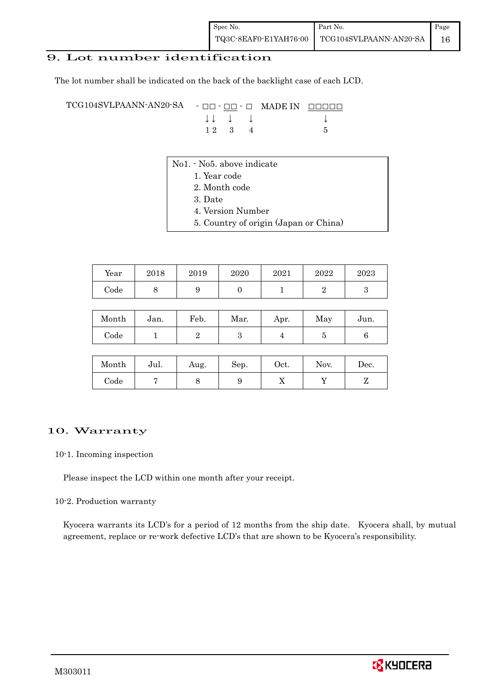## 9. Lot number identification

The lot number shall be indicated on the back of the backlight case of each LCD.

TCG104SVLPAANN-AN20-SA - □□ - □□ - □ MADE IN □□□□□ ↓ ↓ ↓ ↓ ↓  $12 \quad 3 \quad 4$  5

- No1. No5. above indicate
	- 1. Year code
		- 2. Month code
		- 3. Date
		- 4. Version Number
		- 5. Country of origin (Japan or China)

| Year | 2018 | 2019 | 2020 | 2021 | 2022 | 2023 |
|------|------|------|------|------|------|------|
| Code |      | ັ    |      |      |      |      |

| Month | Jan. | Feb. | Mar. | Apr. | May | Jun. |
|-------|------|------|------|------|-----|------|
| Code  |      |      |      |      |     |      |

| Month | Jul. | Aug. | Sep. | Oct. | Nov. | Dec. |
|-------|------|------|------|------|------|------|
| Code  |      | ◡    |      | 77   |      |      |

#### 10. Warranty

10-1. Incoming inspection

Please inspect the LCD within one month after your receipt.

#### 10-2. Production warranty

 Kyocera warrants its LCD's for a period of 12 months from the ship date. Kyocera shall, by mutual agreement, replace or re-work defective LCD's that are shown to be Kyocera's responsibility.

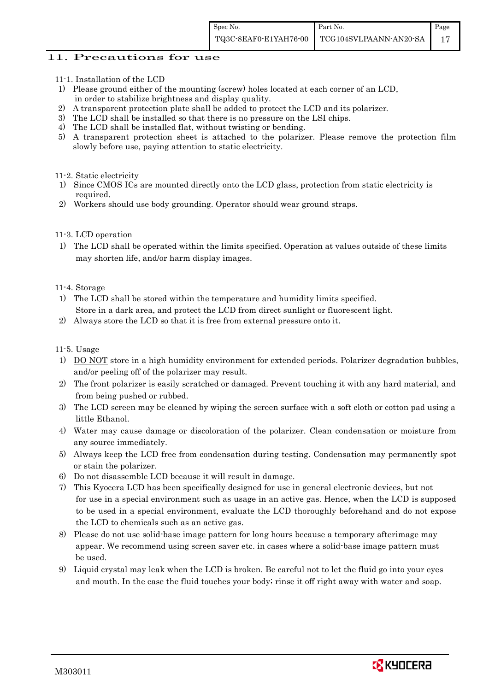### 11. Precautions for use

- 11-1. Installation of the LCD
- 1) Please ground either of the mounting (screw) holes located at each corner of an LCD, in order to stabilize brightness and display quality.
- 2) A transparent protection plate shall be added to protect the LCD and its polarizer.
- 3) The LCD shall be installed so that there is no pressure on the LSI chips.
- 4) The LCD shall be installed flat, without twisting or bending.
- 5) A transparent protection sheet is attached to the polarizer. Please remove the protection film slowly before use, paying attention to static electricity.

#### 11-2. Static electricity

- 1) Since CMOS ICs are mounted directly onto the LCD glass, protection from static electricity is required.
- 2) Workers should use body grounding. Operator should wear ground straps.

#### 11-3. LCD operation

1) The LCD shall be operated within the limits specified. Operation at values outside of these limits may shorten life, and/or harm display images.

#### 11-4. Storage

- 1) The LCD shall be stored within the temperature and humidity limits specified. Store in a dark area, and protect the LCD from direct sunlight or fluorescent light.
- 2) Always store the LCD so that it is free from external pressure onto it.

#### 11-5. Usage

- 1) DO NOT store in a high humidity environment for extended periods. Polarizer degradation bubbles, and/or peeling off of the polarizer may result.
- 2) The front polarizer is easily scratched or damaged. Prevent touching it with any hard material, and from being pushed or rubbed.
- 3) The LCD screen may be cleaned by wiping the screen surface with a soft cloth or cotton pad using a little Ethanol.
- 4) Water may cause damage or discoloration of the polarizer. Clean condensation or moisture from any source immediately.
- 5) Always keep the LCD free from condensation during testing. Condensation may permanently spot or stain the polarizer.
- 6) Do not disassemble LCD because it will result in damage.
- 7) This Kyocera LCD has been specifically designed for use in general electronic devices, but not for use in a special environment such as usage in an active gas. Hence, when the LCD is supposed to be used in a special environment, evaluate the LCD thoroughly beforehand and do not expose the LCD to chemicals such as an active gas.
- 8) Please do not use solid-base image pattern for long hours because a temporary afterimage may appear. We recommend using screen saver etc. in cases where a solid-base image pattern must be used.
- 9) Liquid crystal may leak when the LCD is broken. Be careful not to let the fluid go into your eyes and mouth. In the case the fluid touches your body; rinse it off right away with water and soap.

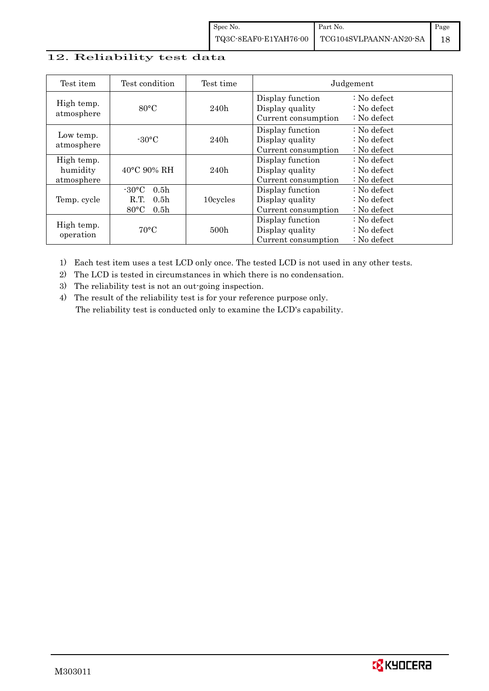## 12. Reliability test data

| Test item                            | Test condition                                                                                        | Test time        |                                                            | Judgement                                                         |
|--------------------------------------|-------------------------------------------------------------------------------------------------------|------------------|------------------------------------------------------------|-------------------------------------------------------------------|
| High temp.<br>atmosphere             | $80^{\circ}$ C                                                                                        | 240h             | Display function<br>Display quality<br>Current consumption | $: No$ defect<br>$\therefore$ No defect<br>$\therefore$ No defect |
| Low temp.<br>atmosphere              | $-30$ °C                                                                                              | 240h             | Display function<br>Display quality<br>Current consumption | $: No$ defect<br>$\therefore$ No defect<br>$: No$ defect          |
| High temp.<br>humidity<br>atmosphere | $40^{\circ}$ C 90% RH                                                                                 | 240h             | Display function<br>Display quality<br>Current consumption | : No defect<br>$\therefore$ No defect<br>$: No$ defect            |
| Temp. cycle                          | $-30^{\circ}$ C<br>0.5 <sub>h</sub><br>R.T.<br>0.5 <sub>h</sub><br>$80^{\circ}$ C<br>0.5 <sub>h</sub> | 10cycles         | Display function<br>Display quality<br>Current consumption | $: No$ defect<br>$\therefore$ No defect<br>$\therefore$ No defect |
| High temp.<br>operation              | $70^{\circ}$ C                                                                                        | 500 <sub>h</sub> | Display function<br>Display quality<br>Current consumption | $: No$ defect<br>$\therefore$ No defect<br>$: No$ defect          |

1) Each test item uses a test LCD only once. The tested LCD is not used in any other tests.

2) The LCD is tested in circumstances in which there is no condensation.

3) The reliability test is not an out-going inspection.

4) The result of the reliability test is for your reference purpose only. The reliability test is conducted only to examine the LCD's capability.

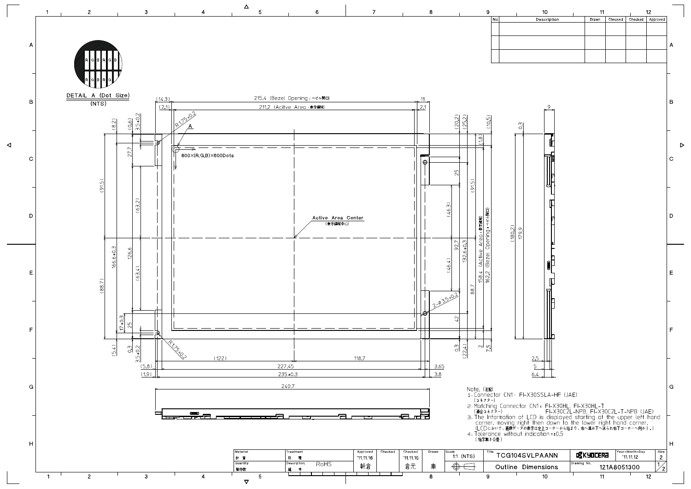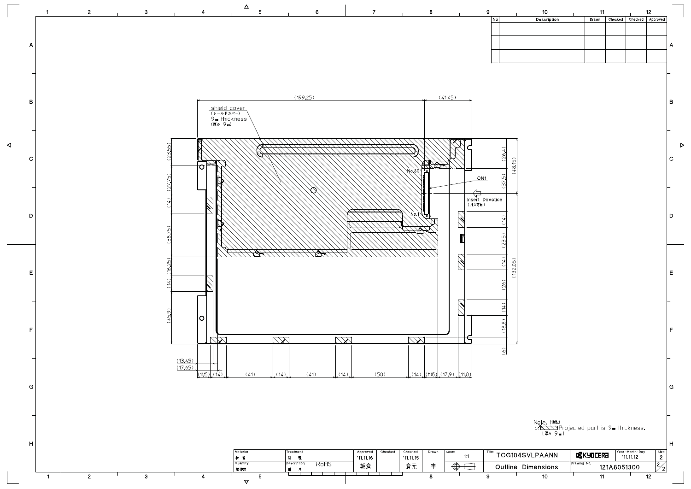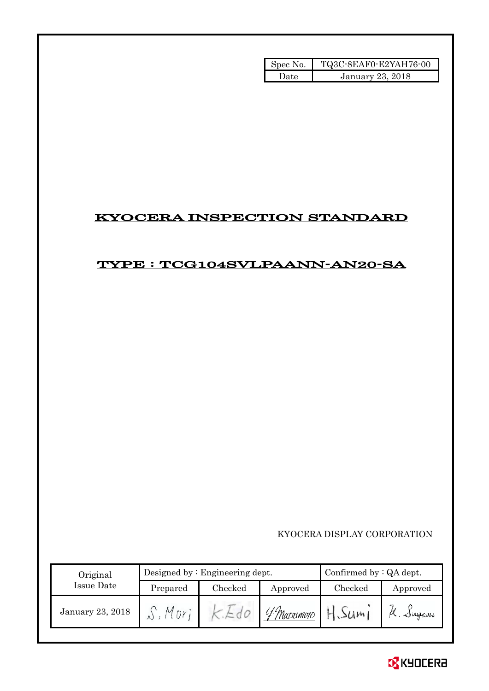| Spec No. | TQ3C-8EAF0-E2YAH76-00 |
|----------|-----------------------|
| l Iate   | January 23, 2018      |

# KYOCERA INSPECTION STANDARD

# TYPE : TCG104SVLPAANN-AN20-SA

KYOCERA DISPLAY CORPORATION

| Original         | Designed by $:$ Engineering dept. |         |              | Confirmed by $:QA$ dept. |          |  |
|------------------|-----------------------------------|---------|--------------|--------------------------|----------|--|
| Issue Date       | Prepared                          | Checked | Approved     | Checked                  | Approved |  |
| January 23, 2018 |                                   | $\sim$  | 'f Matsumoto | 34m1                     | A.Jugani |  |

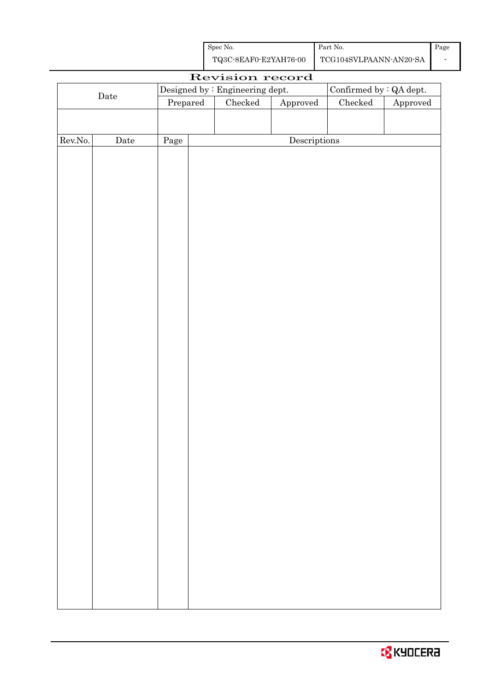| Spec No.              | Part No.               | Page |
|-----------------------|------------------------|------|
| TQ3C-8EAF0-E2YAH76-00 | TCG104SVLPAANN-AN20-SA |      |

|         | Revision record |                                  |                                 |                        |                                |          |  |
|---------|-----------------|----------------------------------|---------------------------------|------------------------|--------------------------------|----------|--|
|         |                 |                                  | Designed by : Engineering dept. |                        | Confirmed by $\colon$ QA dept. |          |  |
|         | $\rm{Date}$     | $\ensuremath{\mathrm{Prepared}}$ | Checked                         | ${\Large\bf Approved}$ | Checked                        | Approved |  |
|         |                 |                                  |                                 |                        |                                |          |  |
|         |                 |                                  |                                 |                        |                                |          |  |
| Rev.No. | Date            | Page                             |                                 | Descriptions           |                                |          |  |
|         |                 |                                  |                                 |                        |                                |          |  |
|         |                 |                                  |                                 |                        |                                |          |  |
|         |                 |                                  |                                 |                        |                                |          |  |
|         |                 |                                  |                                 |                        |                                |          |  |
|         |                 |                                  |                                 |                        |                                |          |  |
|         |                 |                                  |                                 |                        |                                |          |  |
|         |                 |                                  |                                 |                        |                                |          |  |
|         |                 |                                  |                                 |                        |                                |          |  |
|         |                 |                                  |                                 |                        |                                |          |  |
|         |                 |                                  |                                 |                        |                                |          |  |
|         |                 |                                  |                                 |                        |                                |          |  |
|         |                 |                                  |                                 |                        |                                |          |  |
|         |                 |                                  |                                 |                        |                                |          |  |
|         |                 |                                  |                                 |                        |                                |          |  |
|         |                 |                                  |                                 |                        |                                |          |  |
|         |                 |                                  |                                 |                        |                                |          |  |
|         |                 |                                  |                                 |                        |                                |          |  |
|         |                 |                                  |                                 |                        |                                |          |  |
|         |                 |                                  |                                 |                        |                                |          |  |
|         |                 |                                  |                                 |                        |                                |          |  |
|         |                 |                                  |                                 |                        |                                |          |  |
|         |                 |                                  |                                 |                        |                                |          |  |
|         |                 |                                  |                                 |                        |                                |          |  |
|         |                 |                                  |                                 |                        |                                |          |  |
|         |                 |                                  |                                 |                        |                                |          |  |
|         |                 |                                  |                                 |                        |                                |          |  |
|         |                 |                                  |                                 |                        |                                |          |  |
|         |                 |                                  |                                 |                        |                                |          |  |
|         |                 |                                  |                                 |                        |                                |          |  |
|         |                 |                                  |                                 |                        |                                |          |  |
|         |                 |                                  |                                 |                        |                                |          |  |
|         |                 |                                  |                                 |                        |                                |          |  |
|         |                 |                                  |                                 |                        |                                |          |  |
|         |                 |                                  |                                 |                        |                                |          |  |
|         |                 |                                  |                                 |                        |                                |          |  |
|         |                 |                                  |                                 |                        |                                |          |  |
|         |                 |                                  |                                 |                        |                                |          |  |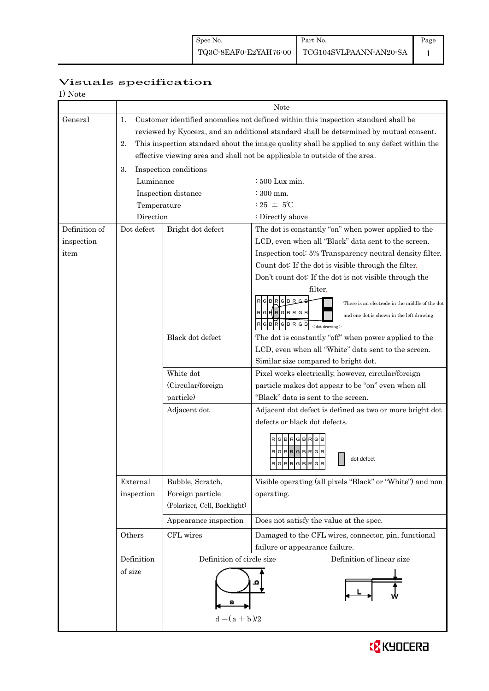Page 1

## Visuals specification

| Note |
|------|
|      |

|               |             |                              | Note                                                                                       |  |  |  |  |
|---------------|-------------|------------------------------|--------------------------------------------------------------------------------------------|--|--|--|--|
| General       | 1.          |                              | Customer identified anomalies not defined within this inspection standard shall be         |  |  |  |  |
|               |             |                              | reviewed by Kyocera, and an additional standard shall be determined by mutual consent.     |  |  |  |  |
|               | 2.          |                              | This inspection standard about the image quality shall be applied to any defect within the |  |  |  |  |
|               |             |                              | effective viewing area and shall not be applicable to outside of the area.                 |  |  |  |  |
|               | 3.          | Inspection conditions        |                                                                                            |  |  |  |  |
|               | Luminance   |                              | $\div 500$ Lux min.                                                                        |  |  |  |  |
|               |             | Inspection distance          | $\div 300$ mm.                                                                             |  |  |  |  |
|               | Temperature |                              | : 25 $\pm$ 5°C                                                                             |  |  |  |  |
|               | Direction   |                              | : Directly above                                                                           |  |  |  |  |
| Definition of | Dot defect  | Bright dot defect            | The dot is constantly "on" when power applied to the                                       |  |  |  |  |
| inspection    |             |                              | LCD, even when all "Black" data sent to the screen.                                        |  |  |  |  |
| item          |             |                              | Inspection tool: 5% Transparency neutral density filter.                                   |  |  |  |  |
|               |             |                              | Count dot: If the dot is visible through the filter.                                       |  |  |  |  |
|               |             |                              | Don't count dot: If the dot is not visible through the                                     |  |  |  |  |
|               |             |                              | filter.                                                                                    |  |  |  |  |
|               |             |                              | R G B R<br><b>GIB</b><br>There is an electrode in the middle of the dot                    |  |  |  |  |
|               |             |                              | $R$ G $H$ R $G$ B $R$ G $B$<br>and one dot is shown in the left drawing.                   |  |  |  |  |
|               |             |                              | RGBRGBRGB<br>$<$ dot drawing $>$                                                           |  |  |  |  |
|               |             | Black dot defect             | The dot is constantly "off" when power applied to the                                      |  |  |  |  |
|               |             |                              | LCD, even when all "White" data sent to the screen.                                        |  |  |  |  |
|               |             |                              | Similar size compared to bright dot.                                                       |  |  |  |  |
|               |             | White dot                    | Pixel works electrically, however, circular/foreign                                        |  |  |  |  |
|               |             | (Circular/foreign            | particle makes dot appear to be "on" even when all                                         |  |  |  |  |
|               |             | particle)                    | "Black" data is sent to the screen.                                                        |  |  |  |  |
|               |             | Adjacent dot                 | Adjacent dot defect is defined as two or more bright dot                                   |  |  |  |  |
|               |             |                              | defects or black dot defects.                                                              |  |  |  |  |
|               |             |                              | RGBRGBRG                                                                                   |  |  |  |  |
|               |             |                              | RGBRGBRGB                                                                                  |  |  |  |  |
|               |             |                              | dot defect<br>$R$ G $B$ R $G$ B $R$ G $B$                                                  |  |  |  |  |
|               |             |                              | ساحل المساحل الماد                                                                         |  |  |  |  |
|               | External    | Bubble, Scratch,             | Visible operating (all pixels "Black" or "White") and non                                  |  |  |  |  |
|               | inspection  | Foreign particle             | operating.                                                                                 |  |  |  |  |
|               |             | (Polarizer, Cell, Backlight) |                                                                                            |  |  |  |  |
|               |             | Appearance inspection        | Does not satisfy the value at the spec.                                                    |  |  |  |  |
|               | Others      | CFL wires                    | Damaged to the CFL wires, connector, pin, functional                                       |  |  |  |  |
|               |             |                              | failure or appearance failure.                                                             |  |  |  |  |
|               | Definition  | Definition of circle size    | Definition of linear size                                                                  |  |  |  |  |
|               | of size     | $d = (a + b)/2$              |                                                                                            |  |  |  |  |
|               |             |                              |                                                                                            |  |  |  |  |